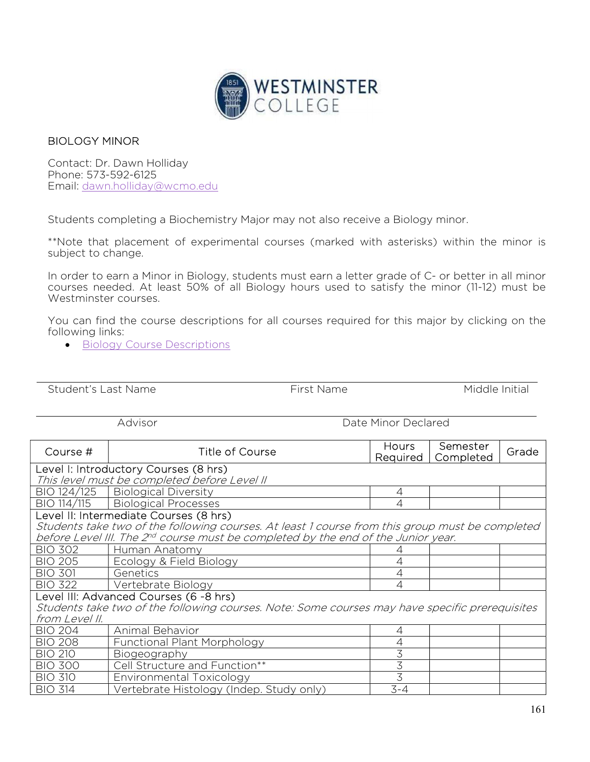

## BIOLOGY MINOR

Contact: Dr. Dawn Holliday Phone: 573-592-6125 Email: dawn.holliday@wcmo.edu

Students completing a Biochemistry Major may not also receive a Biology minor.

\*\*Note that placement of experimental courses (marked with asterisks) within the minor is subject to change.

In order to earn a Minor in Biology, students must earn a letter grade of C- or better in all minor courses needed. At least 50% of all Biology hours used to satisfy the minor (11-12) must be Westminster courses.

You can find the course descriptions for all courses required for this major by clicking on the following links:

Student's Last Name The Student's Last Name The First Name of The Middle Initial

**•** Biology Course Descriptions

|                                                                                                                                                                                                                                            | Advisor                                                                                                                                  | Date Minor Declared      |                       |       |  |  |  |
|--------------------------------------------------------------------------------------------------------------------------------------------------------------------------------------------------------------------------------------------|------------------------------------------------------------------------------------------------------------------------------------------|--------------------------|-----------------------|-------|--|--|--|
| Course #                                                                                                                                                                                                                                   | Title of Course                                                                                                                          | <b>Hours</b><br>Required | Semester<br>Completed | Grade |  |  |  |
| Level I: Introductory Courses (8 hrs)<br>This level must be completed before Level II                                                                                                                                                      |                                                                                                                                          |                          |                       |       |  |  |  |
| BIO 124/125                                                                                                                                                                                                                                | <b>Biological Diversity</b>                                                                                                              | 4                        |                       |       |  |  |  |
| BIO 114/115                                                                                                                                                                                                                                | <b>Biological Processes</b>                                                                                                              | $\overline{4}$           |                       |       |  |  |  |
| Level II: Intermediate Courses (8 hrs)<br>Students take two of the following courses. At least 1 course from this group must be completed<br>before Level III. The 2 <sup>nd</sup> course must be completed by the end of the Junior year. |                                                                                                                                          |                          |                       |       |  |  |  |
| <b>BIO 302</b>                                                                                                                                                                                                                             | Human Anatomy                                                                                                                            |                          |                       |       |  |  |  |
| <b>BIO 205</b>                                                                                                                                                                                                                             | Ecology & Field Biology                                                                                                                  | 4                        |                       |       |  |  |  |
| <b>BIO 301</b>                                                                                                                                                                                                                             | Genetics                                                                                                                                 | $\overline{4}$           |                       |       |  |  |  |
| <b>BIO 322</b>                                                                                                                                                                                                                             | Vertebrate Biology                                                                                                                       | $\overline{4}$           |                       |       |  |  |  |
| from Level II.                                                                                                                                                                                                                             | Level III: Advanced Courses (6 -8 hrs)<br>Students take two of the following courses. Note: Some courses may have specific prerequisites |                          |                       |       |  |  |  |
| <b>BIO 204</b>                                                                                                                                                                                                                             | Animal Behavior                                                                                                                          | 4                        |                       |       |  |  |  |
| <b>BIO 208</b>                                                                                                                                                                                                                             | <b>Functional Plant Morphology</b>                                                                                                       | 4                        |                       |       |  |  |  |
| <b>BIO 210</b>                                                                                                                                                                                                                             | Biogeography                                                                                                                             | 3                        |                       |       |  |  |  |
| <b>BIO 300</b>                                                                                                                                                                                                                             | Cell Structure and Function**                                                                                                            | $\overline{3}$           |                       |       |  |  |  |
| <b>BIO 310</b>                                                                                                                                                                                                                             | Environmental Toxicology                                                                                                                 | 3                        |                       |       |  |  |  |
| <b>BIO 314</b>                                                                                                                                                                                                                             | Vertebrate Histology (Indep. Study only)                                                                                                 | $3 - 4$                  |                       |       |  |  |  |